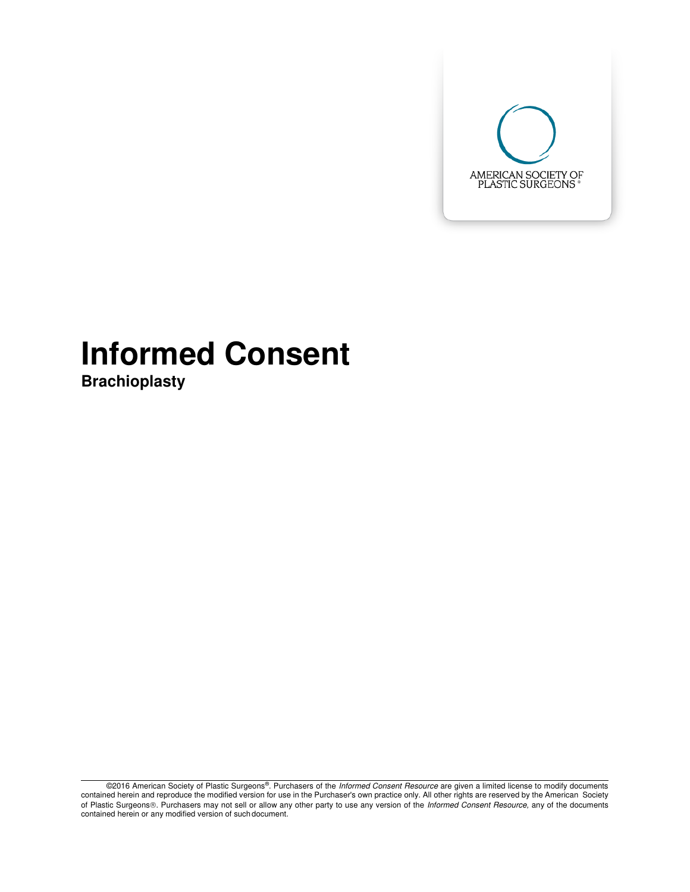

# **Informed Consent**

**Brachioplasty** 

<sup>©2016</sup> American Society of Plastic Surgeons®. Purchasers of the Informed Consent Resource are given a limited license to modify documents contained herein and reproduce the modified version for use in the Purchaser's own practice only. All other rights are reserved by the American Society of Plastic Surgeons®. Purchasers may not sell or allow any other party to use any version of the Informed Consent Resource, any of the documents contained herein or any modified version of such document.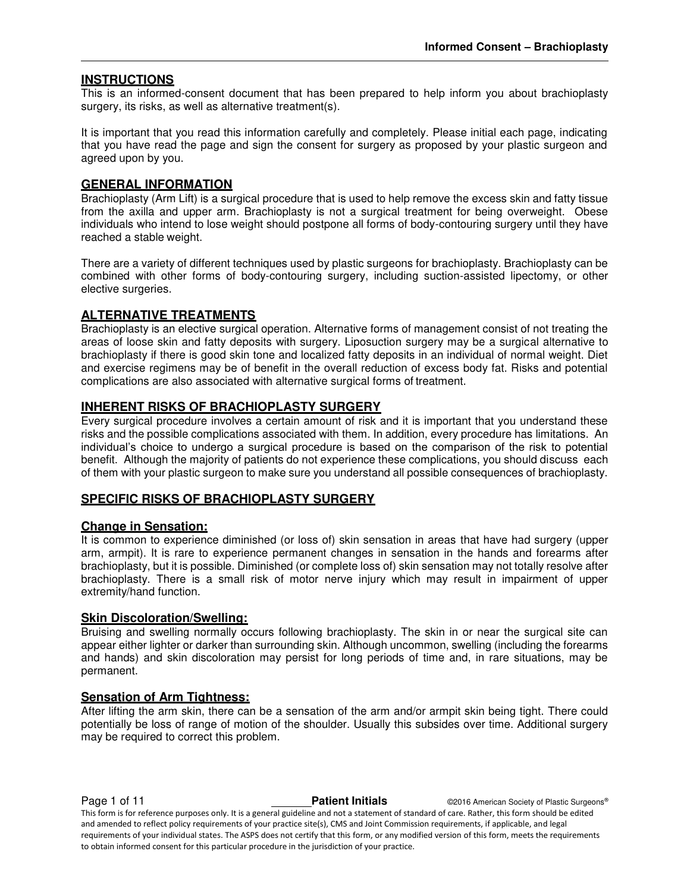# **INSTRUCTIONS**

This is an informed-consent document that has been prepared to help inform you about brachioplasty surgery, its risks, as well as alternative treatment(s).

It is important that you read this information carefully and completely. Please initial each page, indicating that you have read the page and sign the consent for surgery as proposed by your plastic surgeon and agreed upon by you.

## **GENERAL INFORMATION**

Brachioplasty (Arm Lift) is a surgical procedure that is used to help remove the excess skin and fatty tissue from the axilla and upper arm. Brachioplasty is not a surgical treatment for being overweight. Obese individuals who intend to lose weight should postpone all forms of body-contouring surgery until they have reached a stable weight.

There are a variety of different techniques used by plastic surgeons for brachioplasty. Brachioplasty can be combined with other forms of body-contouring surgery, including suction-assisted lipectomy, or other elective surgeries.

# **ALTERNATIVE TREATMENTS**

Brachioplasty is an elective surgical operation. Alternative forms of management consist of not treating the areas of loose skin and fatty deposits with surgery. Liposuction surgery may be a surgical alternative to brachioplasty if there is good skin tone and localized fatty deposits in an individual of normal weight. Diet and exercise regimens may be of benefit in the overall reduction of excess body fat. Risks and potential complications are also associated with alternative surgical forms of treatment.

## **INHERENT RISKS OF BRACHIOPLASTY SURGERY**

Every surgical procedure involves a certain amount of risk and it is important that you understand these risks and the possible complications associated with them. In addition, every procedure has limitations. An individual's choice to undergo a surgical procedure is based on the comparison of the risk to potential benefit. Although the majority of patients do not experience these complications, you should discuss each of them with your plastic surgeon to make sure you understand all possible consequences of brachioplasty.

# **SPECIFIC RISKS OF BRACHIOPLASTY SURGERY**

#### **Change in Sensation:**

It is common to experience diminished (or loss of) skin sensation in areas that have had surgery (upper arm, armpit). It is rare to experience permanent changes in sensation in the hands and forearms after brachioplasty, but it is possible. Diminished (or complete loss of) skin sensation may not totally resolve after brachioplasty. There is a small risk of motor nerve injury which may result in impairment of upper extremity/hand function.

#### **Skin Discoloration/Swelling:**

Bruising and swelling normally occurs following brachioplasty. The skin in or near the surgical site can appear either lighter or darker than surrounding skin. Although uncommon, swelling (including the forearms and hands) and skin discoloration may persist for long periods of time and, in rare situations, may be permanent.

# **Sensation of Arm Tightness:**

After lifting the arm skin, there can be a sensation of the arm and/or armpit skin being tight. There could potentially be loss of range of motion of the shoulder. Usually this subsides over time. Additional surgery may be required to correct this problem.

**Page 1 of 11 Patient Initials COVID-2016** American Society of Plastic Surgeons® This form is for reference purposes only. It is a general guideline and not a statement of standard of care. Rather, this form should be edited and amended to reflect policy requirements of your practice site(s), CMS and Joint Commission requirements, if applicable, and legal requirements of your individual states. The ASPS does not certify that this form, or any modified version of this form, meets the requirements to obtain informed consent for this particular procedure in the jurisdiction of your practice.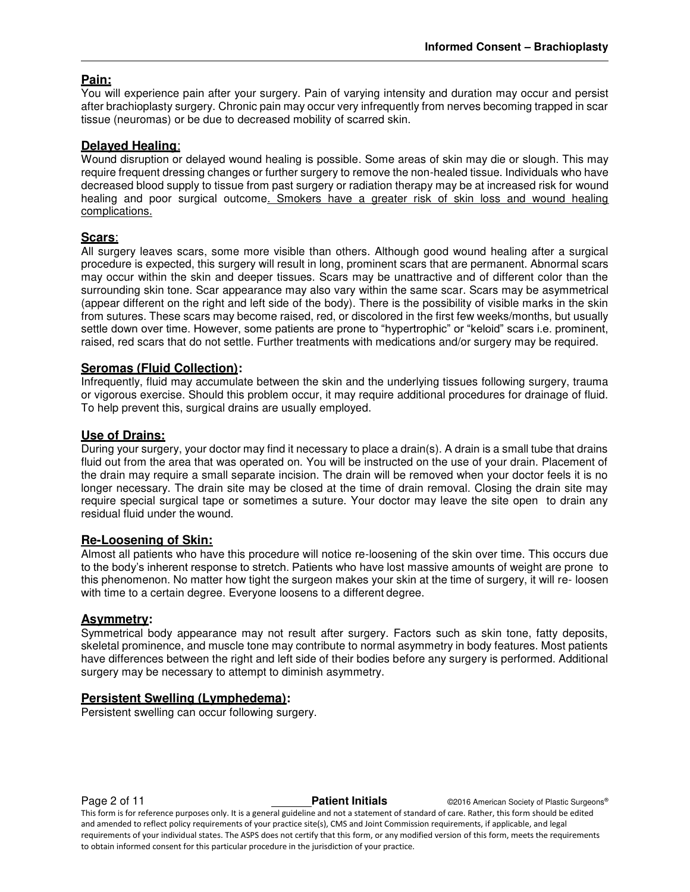# **Pain:**

You will experience pain after your surgery. Pain of varying intensity and duration may occur and persist after brachioplasty surgery. Chronic pain may occur very infrequently from nerves becoming trapped in scar tissue (neuromas) or be due to decreased mobility of scarred skin.

# **Delayed Healing**:

Wound disruption or delayed wound healing is possible. Some areas of skin may die or slough. This may require frequent dressing changes or further surgery to remove the non-healed tissue. Individuals who have decreased blood supply to tissue from past surgery or radiation therapy may be at increased risk for wound healing and poor surgical outcome. Smokers have a greater risk of skin loss and wound healing complications.

## **Scars**:

All surgery leaves scars, some more visible than others. Although good wound healing after a surgical procedure is expected, this surgery will result in long, prominent scars that are permanent. Abnormal scars may occur within the skin and deeper tissues. Scars may be unattractive and of different color than the surrounding skin tone. Scar appearance may also vary within the same scar. Scars may be asymmetrical (appear different on the right and left side of the body). There is the possibility of visible marks in the skin from sutures. These scars may become raised, red, or discolored in the first few weeks/months, but usually settle down over time. However, some patients are prone to "hypertrophic" or "keloid" scars i.e. prominent, raised, red scars that do not settle. Further treatments with medications and/or surgery may be required.

## **Seromas (Fluid Collection):**

Infrequently, fluid may accumulate between the skin and the underlying tissues following surgery, trauma or vigorous exercise. Should this problem occur, it may require additional procedures for drainage of fluid. To help prevent this, surgical drains are usually employed.

# **Use of Drains:**

During your surgery, your doctor may find it necessary to place a drain(s). A drain is a small tube that drains fluid out from the area that was operated on. You will be instructed on the use of your drain. Placement of the drain may require a small separate incision. The drain will be removed when your doctor feels it is no longer necessary. The drain site may be closed at the time of drain removal. Closing the drain site may require special surgical tape or sometimes a suture. Your doctor may leave the site open to drain any residual fluid under the wound.

#### **Re-Loosening of Skin:**

Almost all patients who have this procedure will notice re-loosening of the skin over time. This occurs due to the body's inherent response to stretch. Patients who have lost massive amounts of weight are prone to this phenomenon. No matter how tight the surgeon makes your skin at the time of surgery, it will re- loosen with time to a certain degree. Everyone loosens to a different degree.

#### **Asymmetry:**

Symmetrical body appearance may not result after surgery. Factors such as skin tone, fatty deposits, skeletal prominence, and muscle tone may contribute to normal asymmetry in body features. Most patients have differences between the right and left side of their bodies before any surgery is performed. Additional surgery may be necessary to attempt to diminish asymmetry.

# **Persistent Swelling (Lymphedema):**

Persistent swelling can occur following surgery.

**Page 2 of 11 Patient Initials CONFIDENT CONSUMINGLY American Society of Plastic Surgeons<sup>®</sup>** This form is for reference purposes only. It is a general guideline and not a statement of standard of care. Rather, this form should be edited and amended to reflect policy requirements of your practice site(s), CMS and Joint Commission requirements, if applicable, and legal requirements of your individual states. The ASPS does not certify that this form, or any modified version of this form, meets the requirements to obtain informed consent for this particular procedure in the jurisdiction of your practice.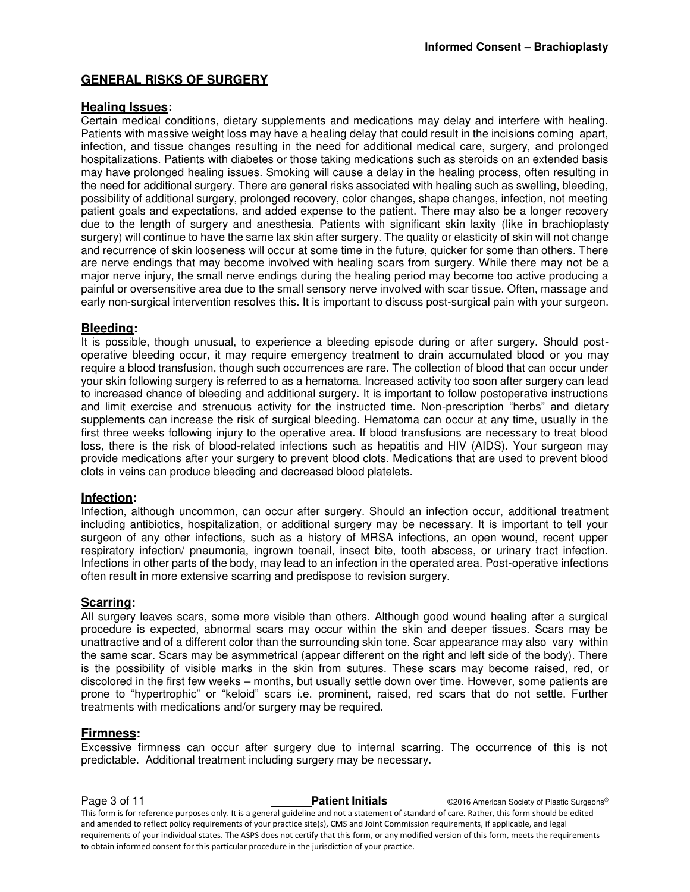# **GENERAL RISKS OF SURGERY**

#### **Healing Issues:**

Certain medical conditions, dietary supplements and medications may delay and interfere with healing. Patients with massive weight loss may have a healing delay that could result in the incisions coming apart, infection, and tissue changes resulting in the need for additional medical care, surgery, and prolonged hospitalizations. Patients with diabetes or those taking medications such as steroids on an extended basis may have prolonged healing issues. Smoking will cause a delay in the healing process, often resulting in the need for additional surgery. There are general risks associated with healing such as swelling, bleeding, possibility of additional surgery, prolonged recovery, color changes, shape changes, infection, not meeting patient goals and expectations, and added expense to the patient. There may also be a longer recovery due to the length of surgery and anesthesia. Patients with significant skin laxity (like in brachioplasty surgery) will continue to have the same lax skin after surgery. The quality or elasticity of skin will not change and recurrence of skin looseness will occur at some time in the future, quicker for some than others. There are nerve endings that may become involved with healing scars from surgery. While there may not be a major nerve injury, the small nerve endings during the healing period may become too active producing a painful or oversensitive area due to the small sensory nerve involved with scar tissue. Often, massage and early non-surgical intervention resolves this. It is important to discuss post-surgical pain with your surgeon.

#### **Bleeding:**

It is possible, though unusual, to experience a bleeding episode during or after surgery. Should postoperative bleeding occur, it may require emergency treatment to drain accumulated blood or you may require a blood transfusion, though such occurrences are rare. The collection of blood that can occur under your skin following surgery is referred to as a hematoma. Increased activity too soon after surgery can lead to increased chance of bleeding and additional surgery. It is important to follow postoperative instructions and limit exercise and strenuous activity for the instructed time. Non-prescription "herbs" and dietary supplements can increase the risk of surgical bleeding. Hematoma can occur at any time, usually in the first three weeks following injury to the operative area. If blood transfusions are necessary to treat blood loss, there is the risk of blood-related infections such as hepatitis and HIV (AIDS). Your surgeon may provide medications after your surgery to prevent blood clots. Medications that are used to prevent blood clots in veins can produce bleeding and decreased blood platelets.

#### **Infection:**

Infection, although uncommon, can occur after surgery. Should an infection occur, additional treatment including antibiotics, hospitalization, or additional surgery may be necessary. It is important to tell your surgeon of any other infections, such as a history of MRSA infections, an open wound, recent upper respiratory infection/ pneumonia, ingrown toenail, insect bite, tooth abscess, or urinary tract infection. Infections in other parts of the body, may lead to an infection in the operated area. Post-operative infections often result in more extensive scarring and predispose to revision surgery.

#### **Scarring:**

All surgery leaves scars, some more visible than others. Although good wound healing after a surgical procedure is expected, abnormal scars may occur within the skin and deeper tissues. Scars may be unattractive and of a different color than the surrounding skin tone. Scar appearance may also vary within the same scar. Scars may be asymmetrical (appear different on the right and left side of the body). There is the possibility of visible marks in the skin from sutures. These scars may become raised, red, or discolored in the first few weeks – months, but usually settle down over time. However, some patients are prone to "hypertrophic" or "keloid" scars i.e. prominent, raised, red scars that do not settle. Further treatments with medications and/or surgery may be required.

#### **Firmness:**

Excessive firmness can occur after surgery due to internal scarring. The occurrence of this is not predictable. Additional treatment including surgery may be necessary.

**Page 3 of 11 Patient Initials CONFIDENT CONFIDENT CONFIDENT CONFIDENT** CONFIDENT CONFIDENT CONFIDENT CONFIDENT CONFIDENT CONFIDENT CONFIDENT CONFIDENT CONFIDENT CONFIDENT CONFIDENT CONFIDENTIAL CONFIDENT CONFIDENTIAL This form is for reference purposes only. It is a general guideline and not a statement of standard of care. Rather, this form should be edited and amended to reflect policy requirements of your practice site(s), CMS and Joint Commission requirements, if applicable, and legal requirements of your individual states. The ASPS does not certify that this form, or any modified version of this form, meets the requirements to obtain informed consent for this particular procedure in the jurisdiction of your practice.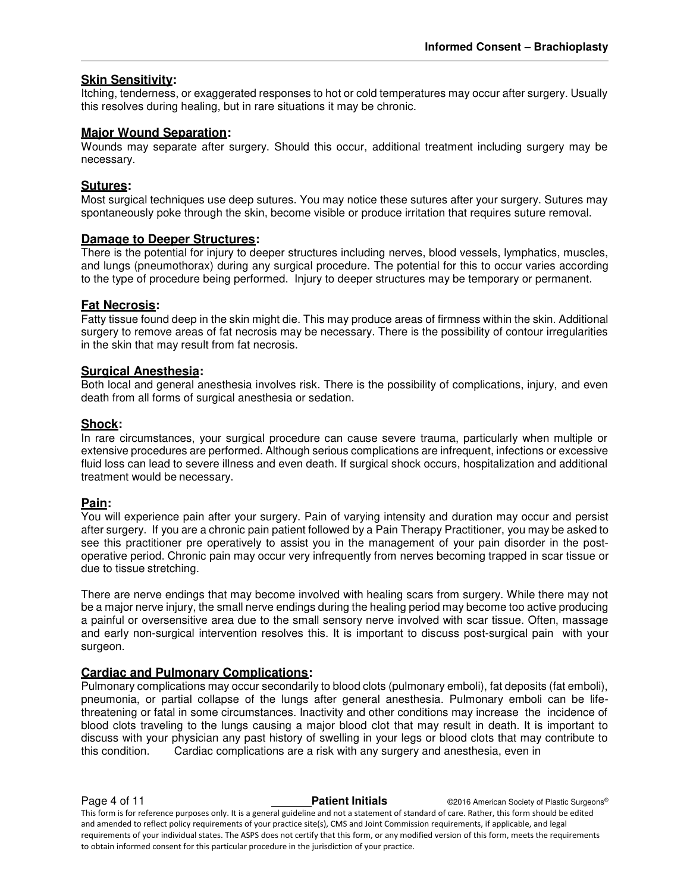# **Skin Sensitivity:**

Itching, tenderness, or exaggerated responses to hot or cold temperatures may occur after surgery. Usually this resolves during healing, but in rare situations it may be chronic.

## **Major Wound Separation:**

Wounds may separate after surgery. Should this occur, additional treatment including surgery may be necessary.

#### **Sutures:**

Most surgical techniques use deep sutures. You may notice these sutures after your surgery. Sutures may spontaneously poke through the skin, become visible or produce irritation that requires suture removal.

## **Damage to Deeper Structures:**

There is the potential for injury to deeper structures including nerves, blood vessels, lymphatics, muscles, and lungs (pneumothorax) during any surgical procedure. The potential for this to occur varies according to the type of procedure being performed. Injury to deeper structures may be temporary or permanent.

## **Fat Necrosis:**

Fatty tissue found deep in the skin might die. This may produce areas of firmness within the skin. Additional surgery to remove areas of fat necrosis may be necessary. There is the possibility of contour irregularities in the skin that may result from fat necrosis.

#### **Surgical Anesthesia:**

Both local and general anesthesia involves risk. There is the possibility of complications, injury, and even death from all forms of surgical anesthesia or sedation.

## **Shock:**

In rare circumstances, your surgical procedure can cause severe trauma, particularly when multiple or extensive procedures are performed. Although serious complications are infrequent, infections or excessive fluid loss can lead to severe illness and even death. If surgical shock occurs, hospitalization and additional treatment would be necessary.

# **Pain:**

You will experience pain after your surgery. Pain of varying intensity and duration may occur and persist after surgery. If you are a chronic pain patient followed by a Pain Therapy Practitioner, you may be asked to see this practitioner pre operatively to assist you in the management of your pain disorder in the postoperative period. Chronic pain may occur very infrequently from nerves becoming trapped in scar tissue or due to tissue stretching.

There are nerve endings that may become involved with healing scars from surgery. While there may not be a major nerve injury, the small nerve endings during the healing period may become too active producing a painful or oversensitive area due to the small sensory nerve involved with scar tissue. Often, massage and early non-surgical intervention resolves this. It is important to discuss post-surgical pain with your surgeon.

# **Cardiac and Pulmonary Complications:**

Pulmonary complications may occur secondarily to blood clots (pulmonary emboli), fat deposits (fat emboli), pneumonia, or partial collapse of the lungs after general anesthesia. Pulmonary emboli can be lifethreatening or fatal in some circumstances. Inactivity and other conditions may increase the incidence of blood clots traveling to the lungs causing a major blood clot that may result in death. It is important to discuss with your physician any past history of swelling in your legs or blood clots that may contribute to this condition. Cardiac complications are a risk with any surgery and anesthesia, even in

**Page 4 of 11 Patient Initials COVID-2016** American Society of Plastic Surgeons® This form is for reference purposes only. It is a general guideline and not a statement of standard of care. Rather, this form should be edited and amended to reflect policy requirements of your practice site(s), CMS and Joint Commission requirements, if applicable, and legal requirements of your individual states. The ASPS does not certify that this form, or any modified version of this form, meets the requirements to obtain informed consent for this particular procedure in the jurisdiction of your practice.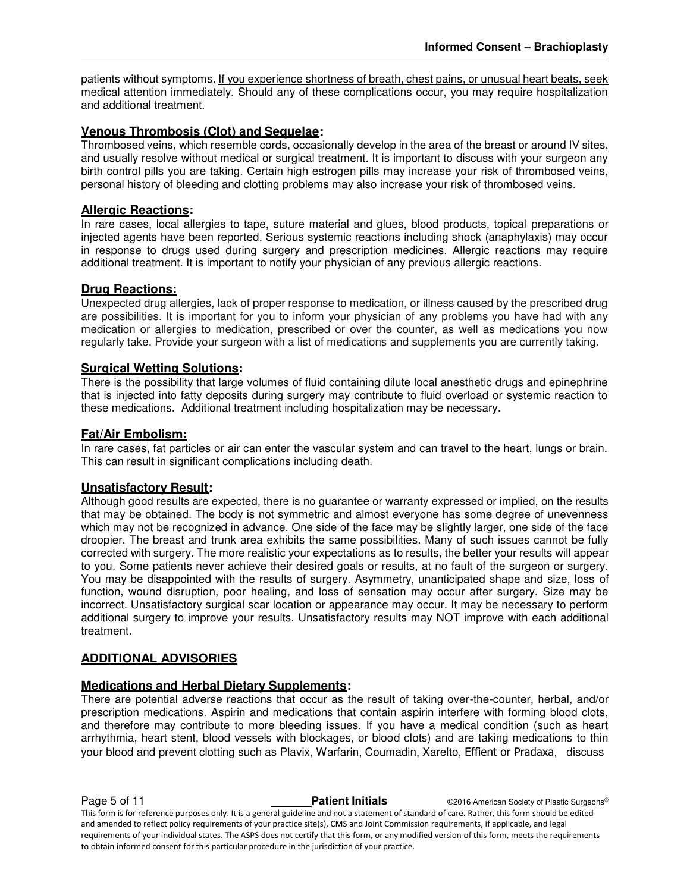patients without symptoms. If you experience shortness of breath, chest pains, or unusual heart beats, seek medical attention immediately. Should any of these complications occur, you may require hospitalization and additional treatment.

# **Venous Thrombosis (Clot) and Sequelae:**

Thrombosed veins, which resemble cords, occasionally develop in the area of the breast or around IV sites, and usually resolve without medical or surgical treatment. It is important to discuss with your surgeon any birth control pills you are taking. Certain high estrogen pills may increase your risk of thrombosed veins, personal history of bleeding and clotting problems may also increase your risk of thrombosed veins.

# **Allergic Reactions:**

In rare cases, local allergies to tape, suture material and glues, blood products, topical preparations or injected agents have been reported. Serious systemic reactions including shock (anaphylaxis) may occur in response to drugs used during surgery and prescription medicines. Allergic reactions may require additional treatment. It is important to notify your physician of any previous allergic reactions.

## **Drug Reactions:**

Unexpected drug allergies, lack of proper response to medication, or illness caused by the prescribed drug are possibilities. It is important for you to inform your physician of any problems you have had with any medication or allergies to medication, prescribed or over the counter, as well as medications you now regularly take. Provide your surgeon with a list of medications and supplements you are currently taking.

#### **Surgical Wetting Solutions:**

There is the possibility that large volumes of fluid containing dilute local anesthetic drugs and epinephrine that is injected into fatty deposits during surgery may contribute to fluid overload or systemic reaction to these medications. Additional treatment including hospitalization may be necessary.

# **Fat/Air Embolism:**

In rare cases, fat particles or air can enter the vascular system and can travel to the heart, lungs or brain. This can result in significant complications including death.

# **Unsatisfactory Result:**

Although good results are expected, there is no guarantee or warranty expressed or implied, on the results that may be obtained. The body is not symmetric and almost everyone has some degree of unevenness which may not be recognized in advance. One side of the face may be slightly larger, one side of the face droopier. The breast and trunk area exhibits the same possibilities. Many of such issues cannot be fully corrected with surgery. The more realistic your expectations as to results, the better your results will appear to you. Some patients never achieve their desired goals or results, at no fault of the surgeon or surgery. You may be disappointed with the results of surgery. Asymmetry, unanticipated shape and size, loss of function, wound disruption, poor healing, and loss of sensation may occur after surgery. Size may be incorrect. Unsatisfactory surgical scar location or appearance may occur. It may be necessary to perform additional surgery to improve your results. Unsatisfactory results may NOT improve with each additional treatment.

# **ADDITIONAL ADVISORIES**

#### **Medications and Herbal Dietary Supplements:**

There are potential adverse reactions that occur as the result of taking over-the-counter, herbal, and/or prescription medications. Aspirin and medications that contain aspirin interfere with forming blood clots, and therefore may contribute to more bleeding issues. If you have a medical condition (such as heart arrhythmia, heart stent, blood vessels with blockages, or blood clots) and are taking medications to thin your blood and prevent clotting such as Plavix, Warfarin, Coumadin, Xarelto, Effient or Pradaxa, discuss

**Page 5 of 11 Patient Initials CONFIDENT CONFIDENT CONFIDENT CONFIDENT** CONFIDENT CONFIDENT CONFIDENT CONFIDENT CONFIDENT CONFIDENT CONFIDENT CONFIDENT CONFIDENT CONFIDENT CONFIDENT CONFIDENTIAL CONFIDENT CONFIDENTIAL This form is for reference purposes only. It is a general guideline and not a statement of standard of care. Rather, this form should be edited and amended to reflect policy requirements of your practice site(s), CMS and Joint Commission requirements, if applicable, and legal requirements of your individual states. The ASPS does not certify that this form, or any modified version of this form, meets the requirements to obtain informed consent for this particular procedure in the jurisdiction of your practice.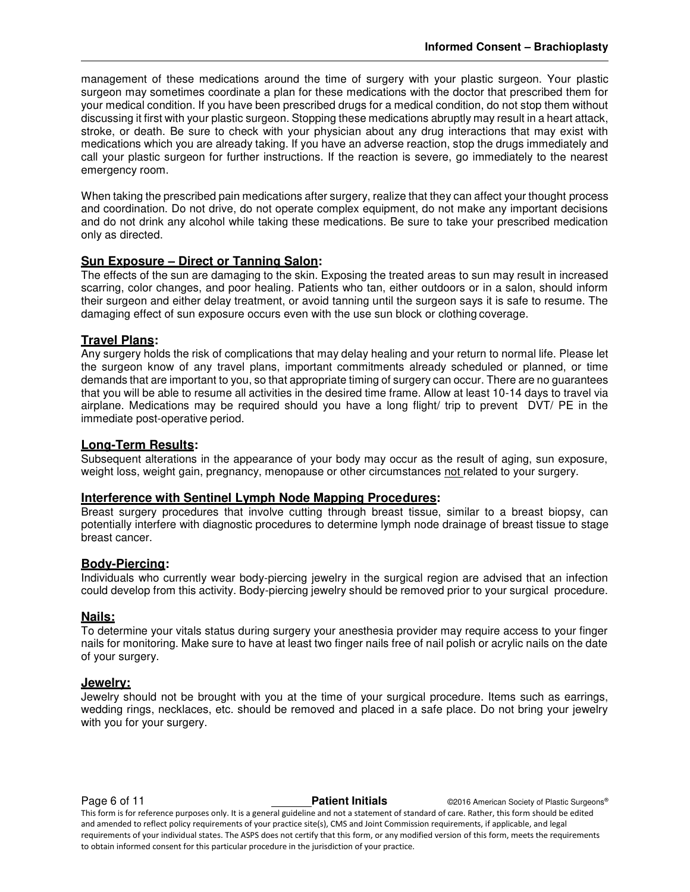management of these medications around the time of surgery with your plastic surgeon. Your plastic surgeon may sometimes coordinate a plan for these medications with the doctor that prescribed them for your medical condition. If you have been prescribed drugs for a medical condition, do not stop them without discussing it first with your plastic surgeon. Stopping these medications abruptly may result in a heart attack, stroke, or death. Be sure to check with your physician about any drug interactions that may exist with medications which you are already taking. If you have an adverse reaction, stop the drugs immediately and call your plastic surgeon for further instructions. If the reaction is severe, go immediately to the nearest emergency room.

When taking the prescribed pain medications after surgery, realize that they can affect your thought process and coordination. Do not drive, do not operate complex equipment, do not make any important decisions and do not drink any alcohol while taking these medications. Be sure to take your prescribed medication only as directed.

#### **Sun Exposure – Direct or Tanning Salon:**

The effects of the sun are damaging to the skin. Exposing the treated areas to sun may result in increased scarring, color changes, and poor healing. Patients who tan, either outdoors or in a salon, should inform their surgeon and either delay treatment, or avoid tanning until the surgeon says it is safe to resume. The damaging effect of sun exposure occurs even with the use sun block or clothing coverage.

## **Travel Plans:**

Any surgery holds the risk of complications that may delay healing and your return to normal life. Please let the surgeon know of any travel plans, important commitments already scheduled or planned, or time demands that are important to you, so that appropriate timing of surgery can occur. There are no guarantees that you will be able to resume all activities in the desired time frame. Allow at least 10-14 days to travel via airplane. Medications may be required should you have a long flight/ trip to prevent DVT/ PE in the immediate post-operative period.

#### **Long-Term Results:**

Subsequent alterations in the appearance of your body may occur as the result of aging, sun exposure, weight loss, weight gain, pregnancy, menopause or other circumstances not related to your surgery.

#### **Interference with Sentinel Lymph Node Mapping Procedures:**

Breast surgery procedures that involve cutting through breast tissue, similar to a breast biopsy, can potentially interfere with diagnostic procedures to determine lymph node drainage of breast tissue to stage breast cancer.

#### **Body-Piercing:**

Individuals who currently wear body-piercing jewelry in the surgical region are advised that an infection could develop from this activity. Body-piercing jewelry should be removed prior to your surgical procedure.

#### **Nails:**

To determine your vitals status during surgery your anesthesia provider may require access to your finger nails for monitoring. Make sure to have at least two finger nails free of nail polish or acrylic nails on the date of your surgery.

## **Jewelry:**

Jewelry should not be brought with you at the time of your surgical procedure. Items such as earrings, wedding rings, necklaces, etc. should be removed and placed in a safe place. Do not bring your jewelry with you for your surgery.

**Page 6 of 11 Patient Initials Patient Initials C2016 American Society of Plastic Surgeons®** This form is for reference purposes only. It is a general guideline and not a statement of standard of care. Rather, this form should be edited and amended to reflect policy requirements of your practice site(s), CMS and Joint Commission requirements, if applicable, and legal requirements of your individual states. The ASPS does not certify that this form, or any modified version of this form, meets the requirements to obtain informed consent for this particular procedure in the jurisdiction of your practice.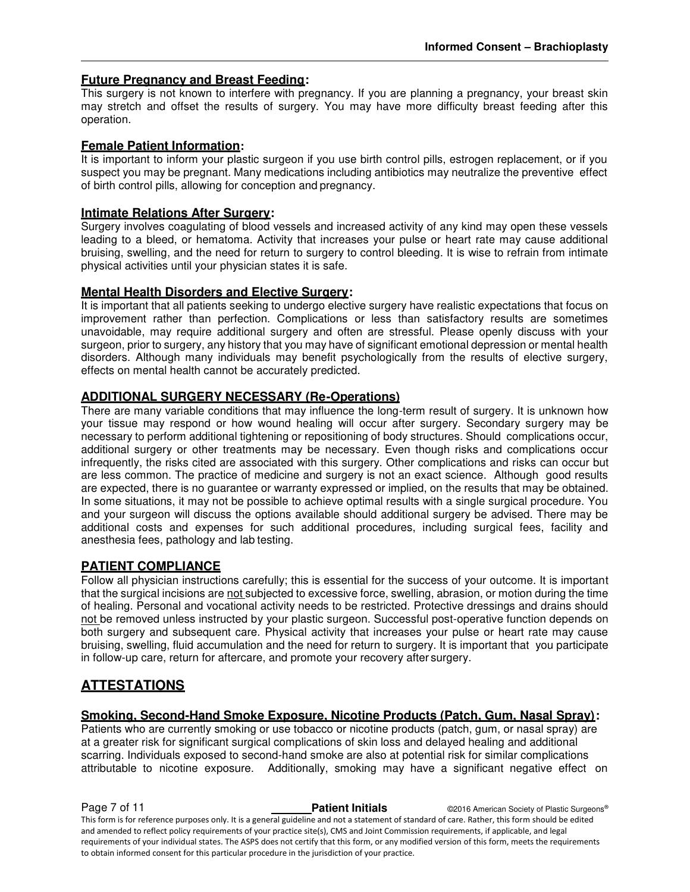# **Future Pregnancy and Breast Feeding:**

This surgery is not known to interfere with pregnancy. If you are planning a pregnancy, your breast skin may stretch and offset the results of surgery. You may have more difficulty breast feeding after this operation.

## **Female Patient Information:**

It is important to inform your plastic surgeon if you use birth control pills, estrogen replacement, or if you suspect you may be pregnant. Many medications including antibiotics may neutralize the preventive effect of birth control pills, allowing for conception and pregnancy.

## **Intimate Relations After Surgery:**

Surgery involves coagulating of blood vessels and increased activity of any kind may open these vessels leading to a bleed, or hematoma. Activity that increases your pulse or heart rate may cause additional bruising, swelling, and the need for return to surgery to control bleeding. It is wise to refrain from intimate physical activities until your physician states it is safe.

# **Mental Health Disorders and Elective Surgery:**

It is important that all patients seeking to undergo elective surgery have realistic expectations that focus on improvement rather than perfection. Complications or less than satisfactory results are sometimes unavoidable, may require additional surgery and often are stressful. Please openly discuss with your surgeon, prior to surgery, any history that you may have of significant emotional depression or mental health disorders. Although many individuals may benefit psychologically from the results of elective surgery, effects on mental health cannot be accurately predicted.

# **ADDITIONAL SURGERY NECESSARY (Re-Operations)**

There are many variable conditions that may influence the long-term result of surgery. It is unknown how your tissue may respond or how wound healing will occur after surgery. Secondary surgery may be necessary to perform additional tightening or repositioning of body structures. Should complications occur, additional surgery or other treatments may be necessary. Even though risks and complications occur infrequently, the risks cited are associated with this surgery. Other complications and risks can occur but are less common. The practice of medicine and surgery is not an exact science. Although good results are expected, there is no guarantee or warranty expressed or implied, on the results that may be obtained. In some situations, it may not be possible to achieve optimal results with a single surgical procedure. You and your surgeon will discuss the options available should additional surgery be advised. There may be additional costs and expenses for such additional procedures, including surgical fees, facility and anesthesia fees, pathology and lab testing.

# **PATIENT COMPLIANCE**

Follow all physician instructions carefully; this is essential for the success of your outcome. It is important that the surgical incisions are not subjected to excessive force, swelling, abrasion, or motion during the time of healing. Personal and vocational activity needs to be restricted. Protective dressings and drains should not be removed unless instructed by your plastic surgeon. Successful post-operative function depends on both surgery and subsequent care. Physical activity that increases your pulse or heart rate may cause bruising, swelling, fluid accumulation and the need for return to surgery. It is important that you participate in follow-up care, return for aftercare, and promote your recovery after surgery.

# **ATTESTATIONS**

# **Smoking, Second-Hand Smoke Exposure, Nicotine Products (Patch, Gum, Nasal Spray):**

Patients who are currently smoking or use tobacco or nicotine products (patch, gum, or nasal spray) are at a greater risk for significant surgical complications of skin loss and delayed healing and additional scarring. Individuals exposed to second-hand smoke are also at potential risk for similar complications attributable to nicotine exposure. Additionally, smoking may have a significant negative effect on

**Page 7 of 11 Patient Initials COVID-2016** American Society of Plastic Surgeons<sup>®</sup> This form is for reference purposes only. It is a general guideline and not a statement of standard of care. Rather, this form should be edited and amended to reflect policy requirements of your practice site(s), CMS and Joint Commission requirements, if applicable, and legal requirements of your individual states. The ASPS does not certify that this form, or any modified version of this form, meets the requirements to obtain informed consent for this particular procedure in the jurisdiction of your practice.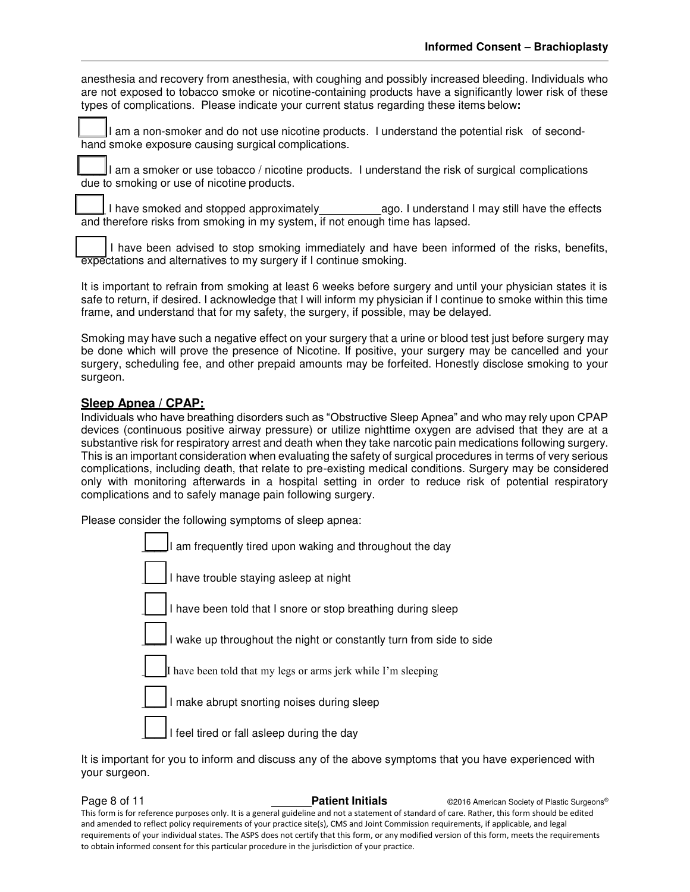anesthesia and recovery from anesthesia, with coughing and possibly increased bleeding. Individuals who are not exposed to tobacco smoke or nicotine-containing products have a significantly lower risk of these types of complications. Please indicate your current status regarding these items below**:** 

I am a non-smoker and do not use nicotine products. I understand the potential risk of secondhand smoke exposure causing surgical complications.

\_\_\_\_ I am a smoker or use tobacco / nicotine products. I understand the risk of surgical complications due to smoking or use of nicotine products.

I have smoked and stopped approximately ago. I understand I may still have the effects and therefore risks from smoking in my system, if not enough time has lapsed.

I have been advised to stop smoking immediately and have been informed of the risks, benefits, expectations and alternatives to my surgery if I continue smoking.

It is important to refrain from smoking at least 6 weeks before surgery and until your physician states it is safe to return, if desired. I acknowledge that I will inform my physician if I continue to smoke within this time frame, and understand that for my safety, the surgery, if possible, may be delayed.

Smoking may have such a negative effect on your surgery that a urine or blood test just before surgery may be done which will prove the presence of Nicotine. If positive, your surgery may be cancelled and your surgery, scheduling fee, and other prepaid amounts may be forfeited. Honestly disclose smoking to your surgeon.

## **Sleep Apnea / CPAP:**

Individuals who have breathing disorders such as "Obstructive Sleep Apnea" and who may rely upon CPAP devices (continuous positive airway pressure) or utilize nighttime oxygen are advised that they are at a substantive risk for respiratory arrest and death when they take narcotic pain medications following surgery. This is an important consideration when evaluating the safety of surgical procedures in terms of very serious complications, including death, that relate to pre-existing medical conditions. Surgery may be considered only with monitoring afterwards in a hospital setting in order to reduce risk of potential respiratory complications and to safely manage pain following surgery.

Please consider the following symptoms of sleep apnea:



It is important for you to inform and discuss any of the above symptoms that you have experienced with your surgeon.

**Page 8 of 11 Patient Initials CONFIDENT CONFIDENT CONFIDENT CONFIDENT** CONFIDENT CONFIDENT CONFIDENT CONFIDENT CONFIDENT CONFIDENT CONFIDENT CONFIDENT CONFIDENT CONFIDENT CONFIDENT CONFIDENTI CONFIDENTI CONFIDENTI CON This form is for reference purposes only. It is a general guideline and not a statement of standard of care. Rather, this form should be edited and amended to reflect policy requirements of your practice site(s), CMS and Joint Commission requirements, if applicable, and legal requirements of your individual states. The ASPS does not certify that this form, or any modified version of this form, meets the requirements to obtain informed consent for this particular procedure in the jurisdiction of your practice.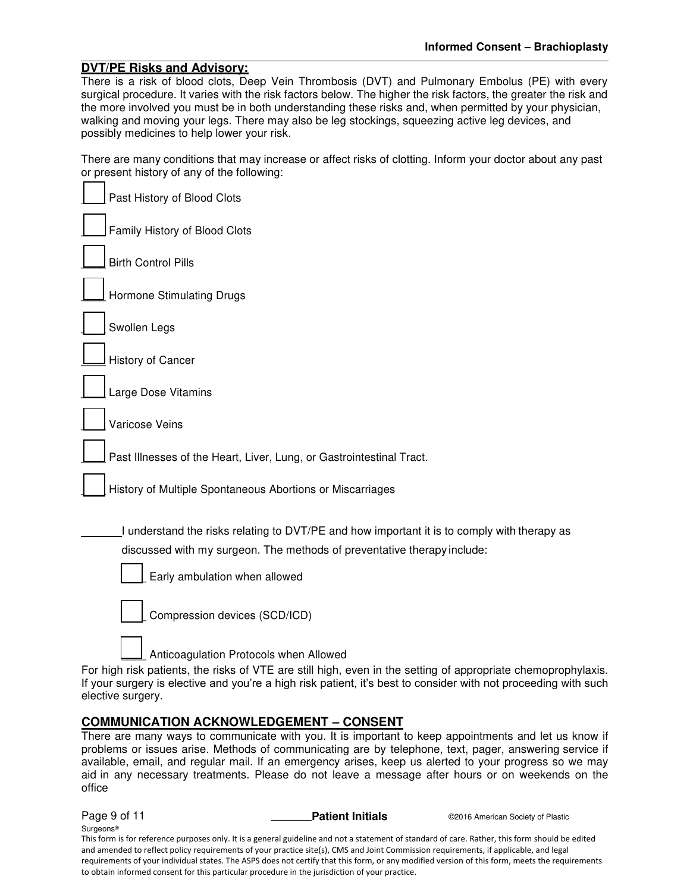#### **DVT/PE Risks and Advisory:**  There is a risk of blood clots, Deep Vein Thrombosis (DVT) and Pulmonary Embolus (PE) with every surgical procedure. It varies with the risk factors below. The higher the risk factors, the greater the risk and the more involved you must be in both understanding these risks and, when permitted by your physician, walking and moving your legs. There may also be leg stockings, squeezing active leg devices, and

possibly medicines to help lower your risk.

There are many conditions that may increase or affect risks of clotting. Inform your doctor about any past or present history of any of the following:

| Past History of Blood Clots                                                                                                                                                                                                                                                                                                                                                                                                                                                                                            |
|------------------------------------------------------------------------------------------------------------------------------------------------------------------------------------------------------------------------------------------------------------------------------------------------------------------------------------------------------------------------------------------------------------------------------------------------------------------------------------------------------------------------|
| Family History of Blood Clots                                                                                                                                                                                                                                                                                                                                                                                                                                                                                          |
| <b>Birth Control Pills</b>                                                                                                                                                                                                                                                                                                                                                                                                                                                                                             |
| <b>Hormone Stimulating Drugs</b>                                                                                                                                                                                                                                                                                                                                                                                                                                                                                       |
| Swollen Legs                                                                                                                                                                                                                                                                                                                                                                                                                                                                                                           |
| History of Cancer                                                                                                                                                                                                                                                                                                                                                                                                                                                                                                      |
| Large Dose Vitamins                                                                                                                                                                                                                                                                                                                                                                                                                                                                                                    |
| Varicose Veins                                                                                                                                                                                                                                                                                                                                                                                                                                                                                                         |
| Past Illnesses of the Heart, Liver, Lung, or Gastrointestinal Tract.                                                                                                                                                                                                                                                                                                                                                                                                                                                   |
| History of Multiple Spontaneous Abortions or Miscarriages                                                                                                                                                                                                                                                                                                                                                                                                                                                              |
| I understand the risks relating to DVT/PE and how important it is to comply with therapy as<br>discussed with my surgeon. The methods of preventative therapy include:<br>Early ambulation when allowed<br>Compression devices (SCD/ICD)<br>Anticoagulation Protocols when Allowed<br>For high risk patients, the risks of VTE are still high, even in the setting of appropriate chemoprophylaxis.<br>If your surgery is elective and you're a high risk patient, it's best to consider with not proceeding with such |
| elective surgery.                                                                                                                                                                                                                                                                                                                                                                                                                                                                                                      |
| <b>COMMUNICATION ACKNOWLEDGEMENT - CONSENT</b>                                                                                                                                                                                                                                                                                                                                                                                                                                                                         |

There are many ways to communicate with you. It is important to keep appointments and let us know if problems or issues arise. Methods of communicating are by telephone, text, pager, answering service if available, email, and regular mail. If an emergency arises, keep us alerted to your progress so we may aid in any necessary treatments. Please do not leave a message after hours or on weekends on the office

Surgeons® This form is for reference purposes only. It is a general guideline and not a statement of standard of care. Rather, this form should be edited and amended to reflect policy requirements of your practice site(s), CMS and Joint Commission requirements, if applicable, and legal requirements of your individual states. The ASPS does not certify that this form, or any modified version of this form, meets the requirements to obtain informed consent for this particular procedure in the jurisdiction of your practice.

**Page 9 of 11 Patient Initials CO**2016 American Society of Plastic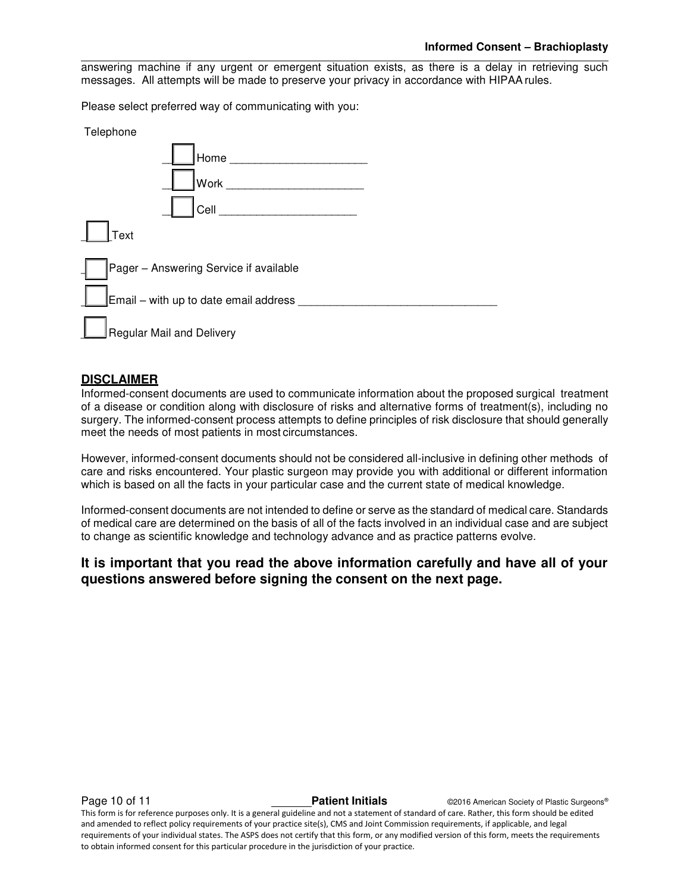answering machine if any urgent or emergent situation exists, as there is a delay in retrieving such messages. All attempts will be made to preserve your privacy in accordance with HIPAA rules.

Please select preferred way of communicating with you:

| Telephone                              |
|----------------------------------------|
| Home                                   |
| Work                                   |
| Cell                                   |
| Text                                   |
| Pager - Answering Service if available |
| Email - with up to date email address  |
| Regular Mail and Delivery              |

# **DISCLAIMER**

Informed-consent documents are used to communicate information about the proposed surgical treatment of a disease or condition along with disclosure of risks and alternative forms of treatment(s), including no surgery. The informed-consent process attempts to define principles of risk disclosure that should generally meet the needs of most patients in most circumstances.

However, informed-consent documents should not be considered all-inclusive in defining other methods of care and risks encountered. Your plastic surgeon may provide you with additional or different information which is based on all the facts in your particular case and the current state of medical knowledge.

Informed-consent documents are not intended to define or serve as the standard of medical care. Standards of medical care are determined on the basis of all of the facts involved in an individual case and are subject to change as scientific knowledge and technology advance and as practice patterns evolve.

# **It is important that you read the above information carefully and have all of your questions answered before signing the consent on the next page.**